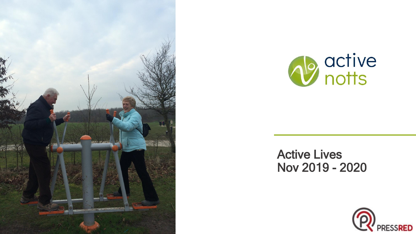



#### Active Lives Nov 2019 - 2020

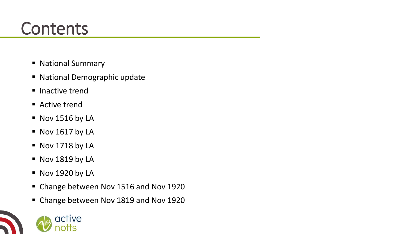#### **Contents**

- National Summary
- National Demographic update
- Inactive trend
- Active trend
- Nov 1516 by LA
- $\blacksquare$  Nov 1617 by LA
- Nov 1718 by LA
- Nov 1819 by LA
- Nov 1920 by LA

active

- Change between Nov 1516 and Nov 1920
- Change between Nov 1819 and Nov 1920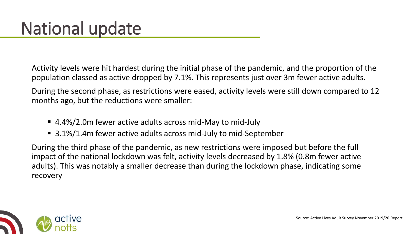Activity levels were hit hardest during the initial phase of the pandemic, and the proportion of the population classed as active dropped by 7.1%. This represents just over 3m fewer active adults.

During the second phase, as restrictions were eased, activity levels were still down compared to 12 months ago, but the reductions were smaller:

- 4.4%/2.0m fewer active adults across mid-May to mid-July
- 3.1%/1.4m fewer active adults across mid-July to mid-September

During the third phase of the pandemic, as new restrictions were imposed but before the full impact of the national lockdown was felt, activity levels decreased by 1.8% (0.8m fewer active adults). This was notably a smaller decrease than during the lockdown phase, indicating some recovery

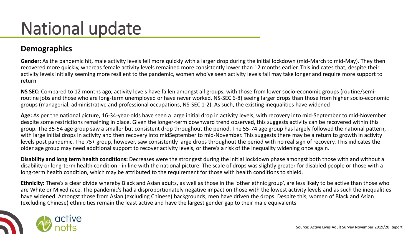# National update

#### **Demographics**

**Gender:** As the pandemic hit, male activity levels fell more quickly with a larger drop during the initial lockdown (mid-March to mid-May). They then recovered more quickly, whereas female activity levels remained more consistently lower than 12 months earlier. This indicates that, despite their activity levels initially seeming more resilient to the pandemic, women who've seen activity levels fall may take longer and require more support to return

**NS SEC:** Compared to 12 months ago, activity levels have fallen amongst all groups, with those from lower socio-economic groups (routine/semiroutine jobs and those who are long-term unemployed or have never worked, NS-SEC 6-8) seeing larger drops than those from higher socio-economic groups (managerial, administrative and professional occupations, NS-SEC 1-2). As such, the existing inequalities have widened

**Age:** As per the national picture, 16-34-year-olds have seen a large initial drop in activity levels, with recovery into mid-September to mid-November despite some restrictions remaining in place. Given the longer-term downward trend observed, this suggests activity can be recovered within this group. The 35-54 age group saw a smaller but consistent drop throughout the period. The 55-74 age group has largely followed the national pattern, with large initial drops in activity and then recovery into midSeptember to mid-November. This suggests there may be a return to growth in activity levels post pandemic. The 75+ group, however, saw consistently large drops throughout the period with no real sign of recovery. This indicates the older age group may need additional support to recover activity levels, or there's a risk of the inequality widening once again.

**Disability and long term health conditions:** Decreases were the strongest during the initial lockdown phase amongst both those with and without a disability or long-term health condition - in line with the national picture. The scale of drops was slightly greater for disabled people or those with a long-term health condition, which may be attributed to the requirement for those with health conditions to shield.

**Ethnicity:** There's a clear divide whereby Black and Asian adults, as well as those in the 'other ethnic group', are less likely to be active than those who are White or Mixed race. The pandemic's had a disproportionately negative impact on those with the lowest activity levels and as such the inequalities have widened. Amongst those from Asian (excluding Chinese) backgrounds, men have driven the drops. Despite this, women of Black and Asian (excluding Chinese) ethnicities remain the least active and have the largest gender gap to their male equivalents

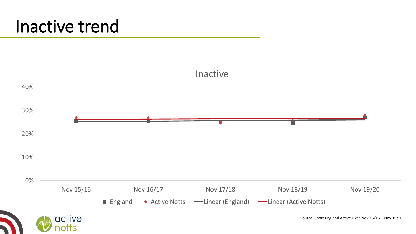#### Inactive trend

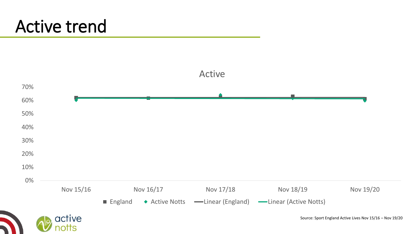#### Active trend

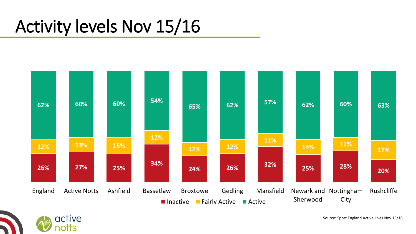## Activity levels Nov 15/16

active

otts



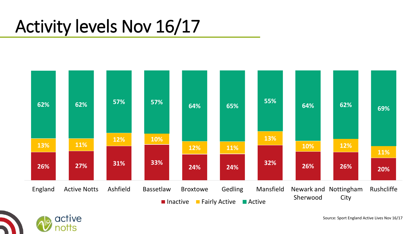## Activity levels Nov 16/17

active

otts



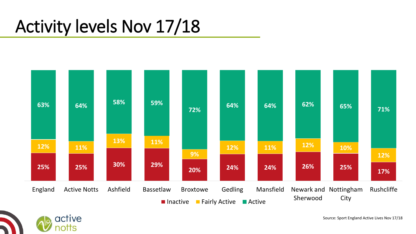## Activity levels Nov 17/18



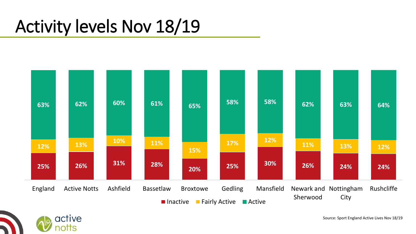### Activity levels Nov 18/19



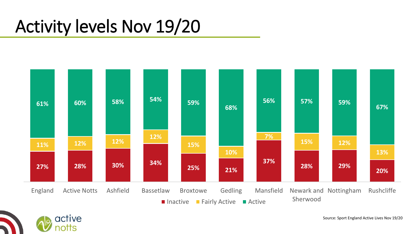## Activity levels Nov 19/20

active

otts

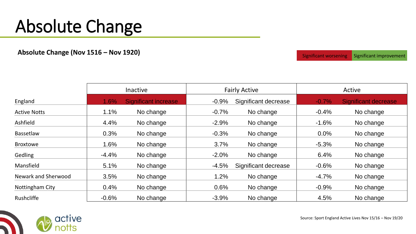## Absolute Change

**Absolute Change (Nov 1516 – Nov 1920) Significant Worsening** Significant *Significant Worsening* Significant improvement

|                     | <b>Inactive</b> |                             | <b>Fairly Active</b> |                      | Active  |                             |
|---------------------|-----------------|-----------------------------|----------------------|----------------------|---------|-----------------------------|
| England             | 1.6%            | <b>Significant increase</b> | $-0.9%$              | Significant decrease | $-0.7%$ | <b>Significant decrease</b> |
| <b>Active Notts</b> | 1.1%            | No change                   | $-0.7%$              | No change            | $-0.4%$ | No change                   |
| Ashfield            | 4.4%            | No change                   | $-2.9%$              | No change            | $-1.6%$ | No change                   |
| Bassetlaw           | 0.3%            | No change                   | $-0.3%$              | No change            | $0.0\%$ | No change                   |
| <b>Broxtowe</b>     | 1.6%            | No change                   | 3.7%                 | No change            | $-5.3%$ | No change                   |
| Gedling             | $-4.4%$         | No change                   | $-2.0%$              | No change            | 6.4%    | No change                   |
| Mansfield           | 5.1%            | No change                   | $-4.5%$              | Significant decrease | $-0.6%$ | No change                   |
| Newark and Sherwood | 3.5%            | No change                   | 1.2%                 | No change            | $-4.7%$ | No change                   |
| Nottingham City     | 0.4%            | No change                   | 0.6%                 | No change            | $-0.9%$ | No change                   |
| Rushcliffe          | $-0.6%$         | No change                   | $-3.9%$              | No change            | 4.5%    | No change                   |



Source: Sport England Active Lives Nov 15/16 – Nov 19/20